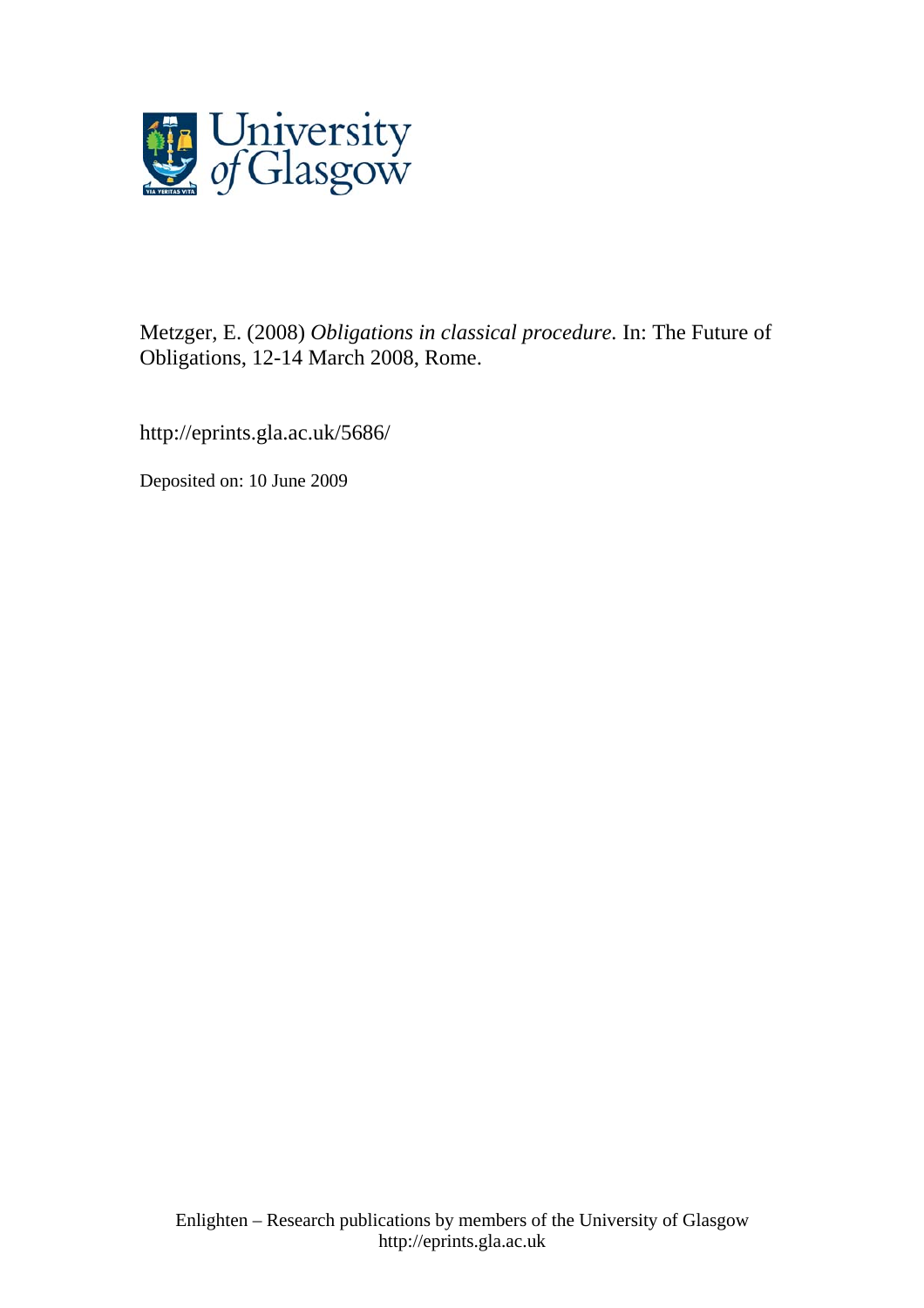

Metzger, E. (2008) *Obligations in classical procedure.* In: The Future of Obligations, 12-14 March 2008, Rome.

http://eprints.gla.ac.uk/5686/

Deposited on: 10 June 2009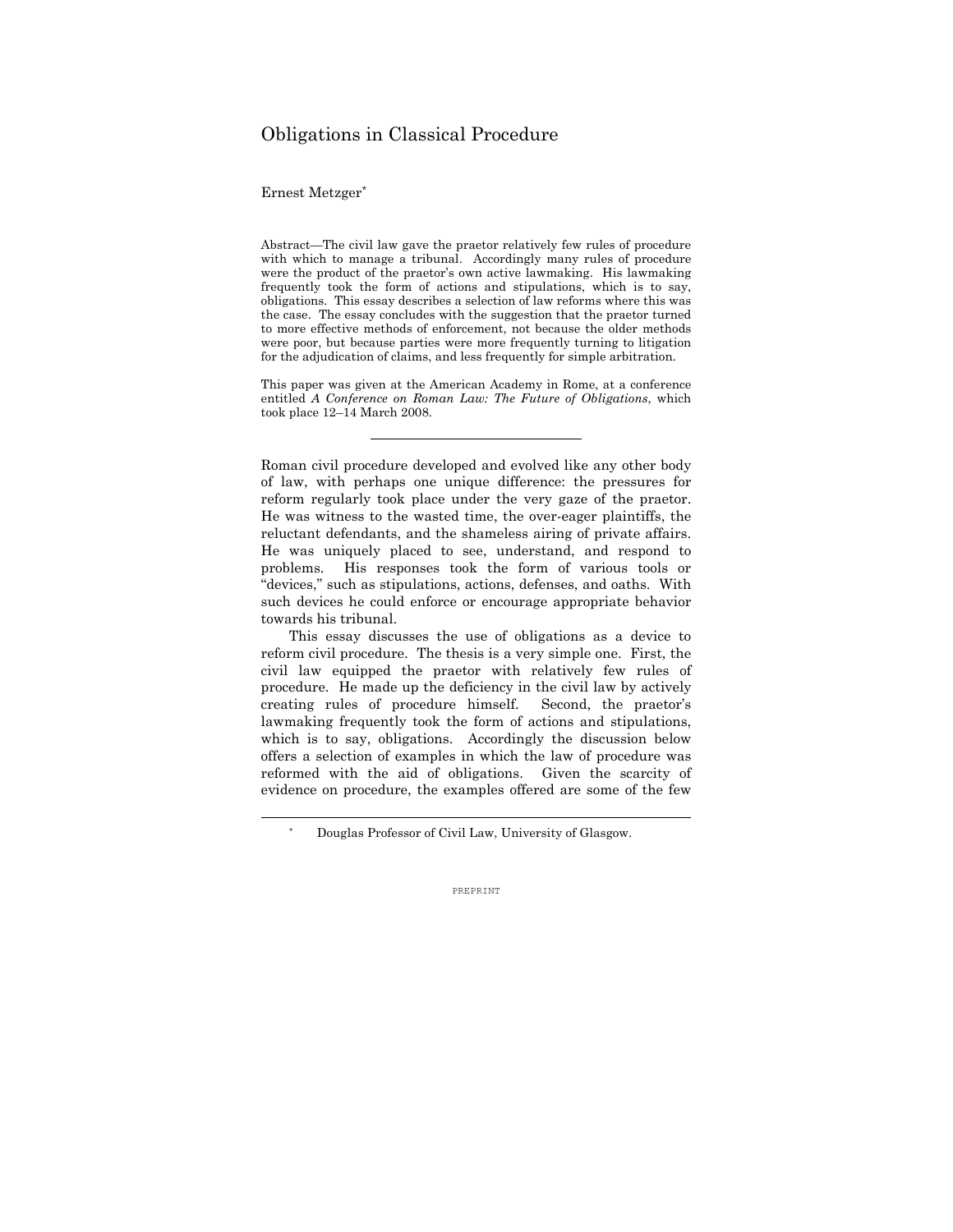# Obligations in Classical Procedure

Ernest Metzger\*

 $\overline{a}$ 

Abstract—The civil law gave the praetor relatively few rules of procedure with which to manage a tribunal. Accordingly many rules of procedure were the product of the praetor's own active lawmaking. His lawmaking frequently took the form of actions and stipulations, which is to say, obligations. This essay describes a selection of law reforms where this was the case. The essay concludes with the suggestion that the praetor turned to more effective methods of enforcement, not because the older methods were poor, but because parties were more frequently turning to litigation for the adjudication of claims, and less frequently for simple arbitration.

This paper was given at the American Academy in Rome, at a conference entitled *A Conference on Roman Law: The Future of Obligations*, which took place 12–14 March 2008.

Roman civil procedure developed and evolved like any other body of law, with perhaps one unique difference: the pressures for reform regularly took place under the very gaze of the praetor. He was witness to the wasted time, the over-eager plaintiffs, the reluctant defendants, and the shameless airing of private affairs. He was uniquely placed to see, understand, and respond to problems. His responses took the form of various tools or "devices," such as stipulations, actions, defenses, and oaths. With such devices he could enforce or encourage appropriate behavior towards his tribunal.

 This essay discusses the use of obligations as a device to reform civil procedure. The thesis is a very simple one. First, the civil law equipped the praetor with relatively few rules of procedure. He made up the deficiency in the civil law by actively creating rules of procedure himself. Second, the praetor's lawmaking frequently took the form of actions and stipulations, which is to say, obligations. Accordingly the discussion below offers a selection of examples in which the law of procedure was reformed with the aid of obligations. Given the scarcity of evidence on procedure, the examples offered are some of the few

Douglas Professor of Civil Law, University of Glasgow.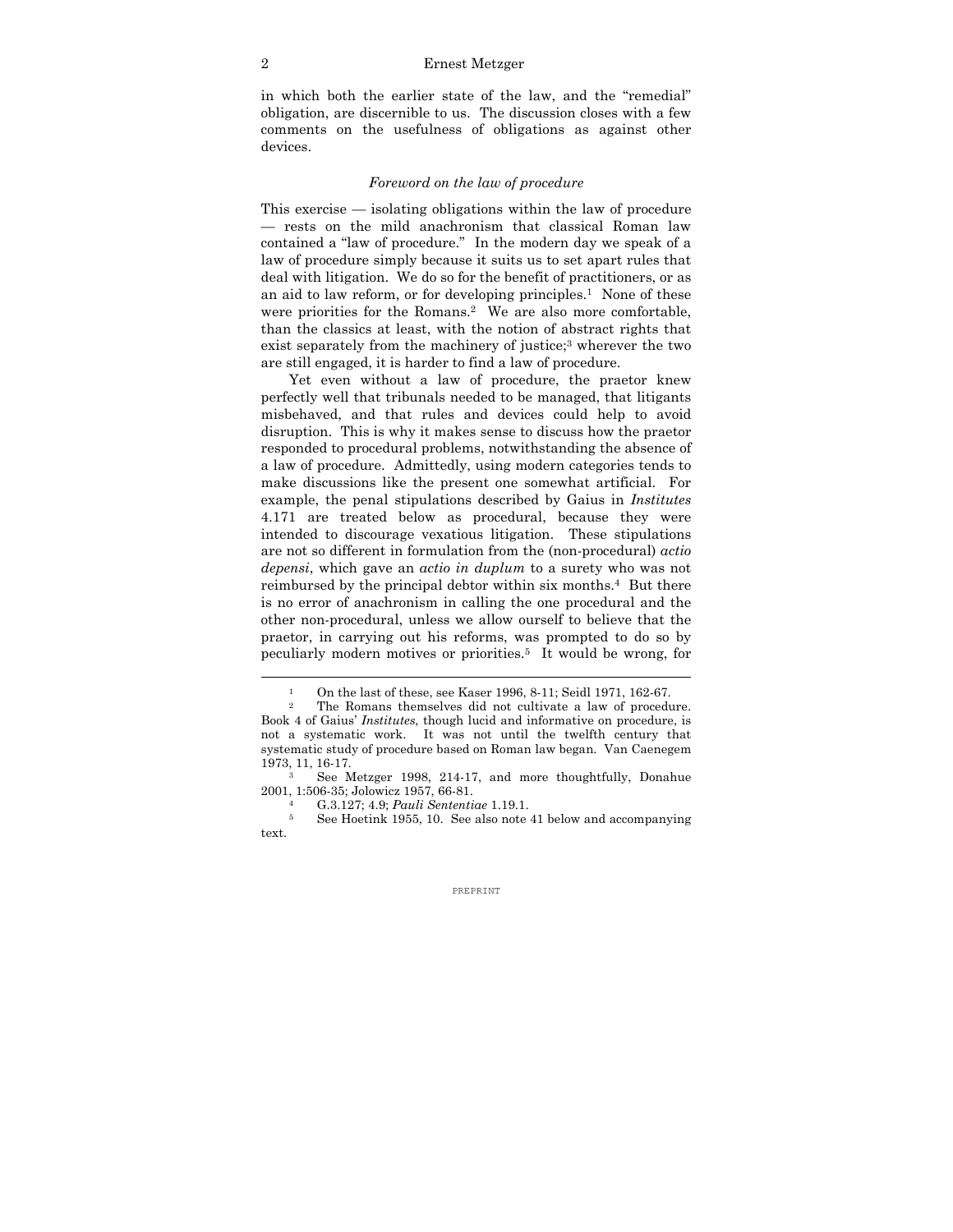#### 2 Ernest Metzger

in which both the earlier state of the law, and the "remedial" obligation, are discernible to us. The discussion closes with a few comments on the usefulness of obligations as against other devices.

## *Foreword on the law of procedure*

This exercise — isolating obligations within the law of procedure — rests on the mild anachronism that classical Roman law contained a "law of procedure." In the modern day we speak of a law of procedure simply because it suits us to set apart rules that deal with litigation. We do so for the benefit of practitioners, or as an aid to law reform, or for developing principles.<sup>1</sup> None of these were priorities for the Romans.<sup>2</sup> We are also more comfortable, than the classics at least, with the notion of abstract rights that exist separately from the machinery of justice;<sup>3</sup> wherever the two are still engaged, it is harder to find a law of procedure.

 Yet even without a law of procedure, the praetor knew perfectly well that tribunals needed to be managed, that litigants misbehaved, and that rules and devices could help to avoid disruption. This is why it makes sense to discuss how the praetor responded to procedural problems, notwithstanding the absence of a law of procedure. Admittedly, using modern categories tends to make discussions like the present one somewhat artificial. For example, the penal stipulations described by Gaius in *Institutes* 4.171 are treated below as procedural, because they were intended to discourage vexatious litigation. These stipulations are not so different in formulation from the (non-procedural) *actio depensi*, which gave an *actio in duplum* to a surety who was not reimbursed by the principal debtor within six months.4 But there is no error of anachronism in calling the one procedural and the other non-procedural, unless we allow ourself to believe that the praetor, in carrying out his reforms, was prompted to do so by peculiarly modern motives or priorities.5 It would be wrong, for

<sup>1</sup> On the last of these, see Kaser 1996, 8-11; Seidl 1971, 162-67. 2 The Romans themselves did not cultivate a law of procedure.

Book 4 of Gaius' *Institutes*, though lucid and informative on procedure, is not a systematic work. It was not until the twelfth century that systematic study of procedure based on Roman law began. Van Caenegem 1973, 11, 16-17.<br><sup>3</sup> See Metzger 1998, 214-17, and more thoughtfully, Donahue

<sup>2001, 1:506-35;</sup> Jolowicz 1957, 66-81. 4 G.3.127; 4.9; *Pauli Sententiae* 1.19.1. 5 See Hoetink 1955, 10. See also note 41 below and accompanying

text.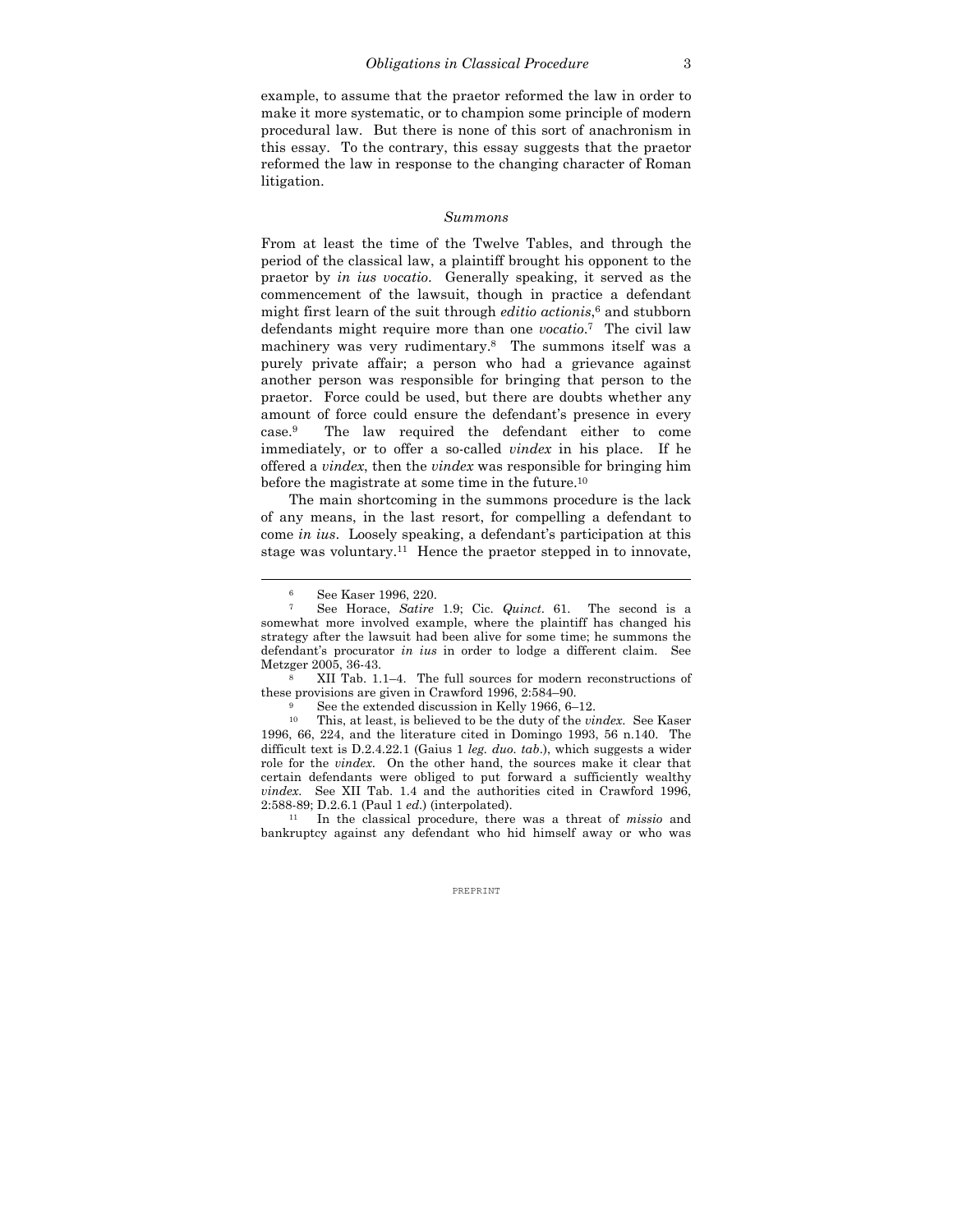example, to assume that the praetor reformed the law in order to make it more systematic, or to champion some principle of modern procedural law. But there is none of this sort of anachronism in this essay. To the contrary, this essay suggests that the praetor reformed the law in response to the changing character of Roman litigation.

#### *Summons*

From at least the time of the Twelve Tables, and through the period of the classical law, a plaintiff brought his opponent to the praetor by *in ius vocatio*. Generally speaking, it served as the commencement of the lawsuit, though in practice a defendant might first learn of the suit through *editio actionis*, 6 and stubborn defendants might require more than one *vocatio*. 7 The civil law machinery was very rudimentary.8 The summons itself was a purely private affair; a person who had a grievance against another person was responsible for bringing that person to the praetor. Force could be used, but there are doubts whether any amount of force could ensure the defendant's presence in every case.9 The law required the defendant either to come immediately, or to offer a so-called *vindex* in his place. If he offered a *vindex*, then the *vindex* was responsible for bringing him before the magistrate at some time in the future.10

 The main shortcoming in the summons procedure is the lack of any means, in the last resort, for compelling a defendant to come *in ius*. Loosely speaking, a defendant's participation at this stage was voluntary.11 Hence the praetor stepped in to innovate,

 $\overline{a}$ 

bankruptcy against any defendant who hid himself away or who was

 $\frac{6}{7}$  See Kaser 1996, 220.

<sup>7</sup> See Horace, *Satire* 1.9; Cic. *Quinct*. 61. The second is a somewhat more involved example, where the plaintiff has changed his strategy after the lawsuit had been alive for some time; he summons the defendant's procurator *in ius* in order to lodge a different claim. See Metzger 2005, 36-43.<br><sup>8</sup> XII Tab. 1.1–4. The full sources for modern reconstructions of

these provisions are given in Crawford 1996, 2:584–90.<br><sup>9</sup> See the extended discussion in Kelly 1966, 6–12.

<sup>10</sup> This, at least, is believed to be the duty of the *vindex*. See Kaser 1996, 66, 224, and the literature cited in Domingo 1993, 56 n.140. The difficult text is D.2.4.22.1 (Gaius 1 *leg. duo. tab*.), which suggests a wider role for the *vindex*. On the other hand, the sources make it clear that certain defendants were obliged to put forward a sufficiently wealthy *vindex*. See XII Tab. 1.4 and the authorities cited in Crawford 1996, 2:588-89; D.2.6.1 (Paul 1 *ed*.) (interpolated). 11 In the classical procedure, there was a threat of *missio* and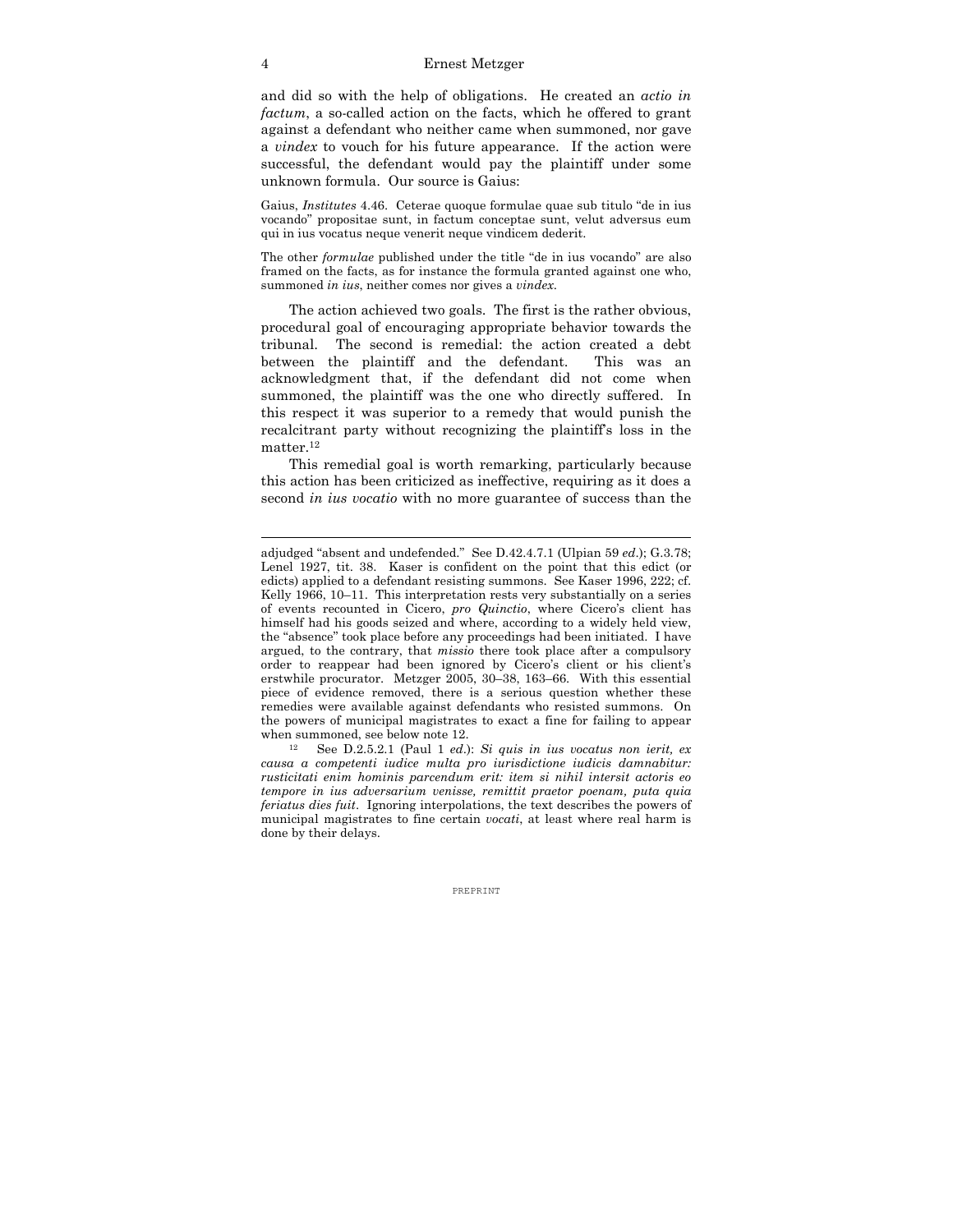#### 4 Ernest Metzger

and did so with the help of obligations. He created an *actio in factum*, a so-called action on the facts, which he offered to grant against a defendant who neither came when summoned, nor gave a *vindex* to vouch for his future appearance. If the action were successful, the defendant would pay the plaintiff under some unknown formula. Our source is Gaius:

Gaius, *Institutes* 4.46. Ceterae quoque formulae quae sub titulo "de in ius vocando" propositae sunt, in factum conceptae sunt, velut adversus eum qui in ius vocatus neque venerit neque vindicem dederit.

The other *formulae* published under the title "de in ius vocando" are also framed on the facts, as for instance the formula granted against one who, summoned *in ius*, neither comes nor gives a *vindex*.

The action achieved two goals. The first is the rather obvious, procedural goal of encouraging appropriate behavior towards the tribunal. The second is remedial: the action created a debt between the plaintiff and the defendant. This was an acknowledgment that, if the defendant did not come when summoned, the plaintiff was the one who directly suffered. In this respect it was superior to a remedy that would punish the recalcitrant party without recognizing the plaintiff's loss in the matter.<sup>12</sup>

This remedial goal is worth remarking, particularly because this action has been criticized as ineffective, requiring as it does a second *in ius vocatio* with no more guarantee of success than the

*causa a competenti iudice multa pro iurisdictione iudicis damnabitur: rusticitati enim hominis parcendum erit: item si nihil intersit actoris eo tempore in ius adversarium venisse, remittit praetor poenam, puta quia feriatus dies fuit*. Ignoring interpolations, the text describes the powers of municipal magistrates to fine certain *vocati*, at least where real harm is done by their delays.

adjudged "absent and undefended." See D.42.4.7.1 (Ulpian 59 *ed*.); G.3.78; Lenel 1927, tit. 38. Kaser is confident on the point that this edict (or edicts) applied to a defendant resisting summons. See Kaser 1996, 222; cf. Kelly 1966, 10–11. This interpretation rests very substantially on a series of events recounted in Cicero, *pro Quinctio*, where Cicero's client has himself had his goods seized and where, according to a widely held view, the "absence" took place before any proceedings had been initiated. I have argued, to the contrary, that *missio* there took place after a compulsory order to reappear had been ignored by Cicero's client or his client's erstwhile procurator. Metzger 2005, 30–38, 163–66. With this essential piece of evidence removed, there is a serious question whether these remedies were available against defendants who resisted summons. On the powers of municipal magistrates to exact a fine for failing to appear when summoned, see below note 12.<br><sup>12</sup> See D.2.5.2.1 (Paul 1 *ed.*): *Si quis in ius vocatus non ierit, ex*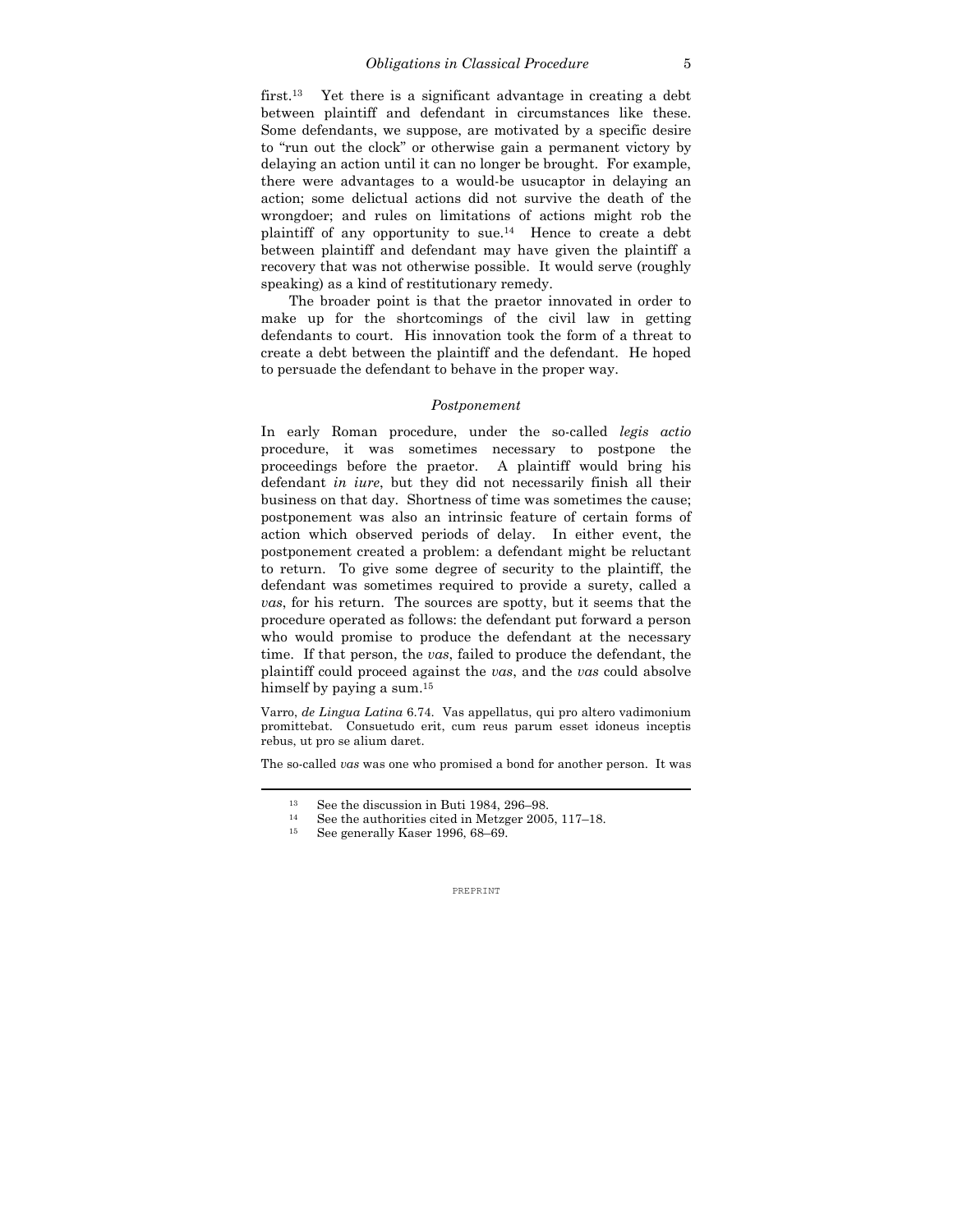first.<sup>13</sup> Yet there is a significant advantage in creating a debt between plaintiff and defendant in circumstances like these. Some defendants, we suppose, are motivated by a specific desire to "run out the clock" or otherwise gain a permanent victory by delaying an action until it can no longer be brought. For example, there were advantages to a would-be usucaptor in delaying an action; some delictual actions did not survive the death of the wrongdoer; and rules on limitations of actions might rob the plaintiff of any opportunity to sue.14 Hence to create a debt between plaintiff and defendant may have given the plaintiff a recovery that was not otherwise possible. It would serve (roughly speaking) as a kind of restitutionary remedy.

 The broader point is that the praetor innovated in order to make up for the shortcomings of the civil law in getting defendants to court. His innovation took the form of a threat to create a debt between the plaintiff and the defendant. He hoped to persuade the defendant to behave in the proper way.

## *Postponement*

In early Roman procedure, under the so-called *legis actio* procedure, it was sometimes necessary to postpone the proceedings before the praetor. A plaintiff would bring his defendant *in iure*, but they did not necessarily finish all their business on that day. Shortness of time was sometimes the cause; postponement was also an intrinsic feature of certain forms of action which observed periods of delay. In either event, the postponement created a problem: a defendant might be reluctant to return. To give some degree of security to the plaintiff, the defendant was sometimes required to provide a surety, called a *vas*, for his return. The sources are spotty, but it seems that the procedure operated as follows: the defendant put forward a person who would promise to produce the defendant at the necessary time. If that person, the *vas*, failed to produce the defendant, the plaintiff could proceed against the *vas*, and the *vas* could absolve himself by paying a sum.<sup>15</sup>

Varro, *de Lingua Latina* 6.74. Vas appellatus, qui pro altero vadimonium promittebat. Consuetudo erit, cum reus parum esset idoneus inceptis rebus, ut pro se alium daret.

The so-called *vas* was one who promised a bond for another person. It was

<sup>13</sup> See the discussion in Buti 1984, 296–98.

<sup>14</sup> See the authorities cited in Metzger 2005, 117–18.

<sup>15</sup> See generally Kaser 1996, 68–69.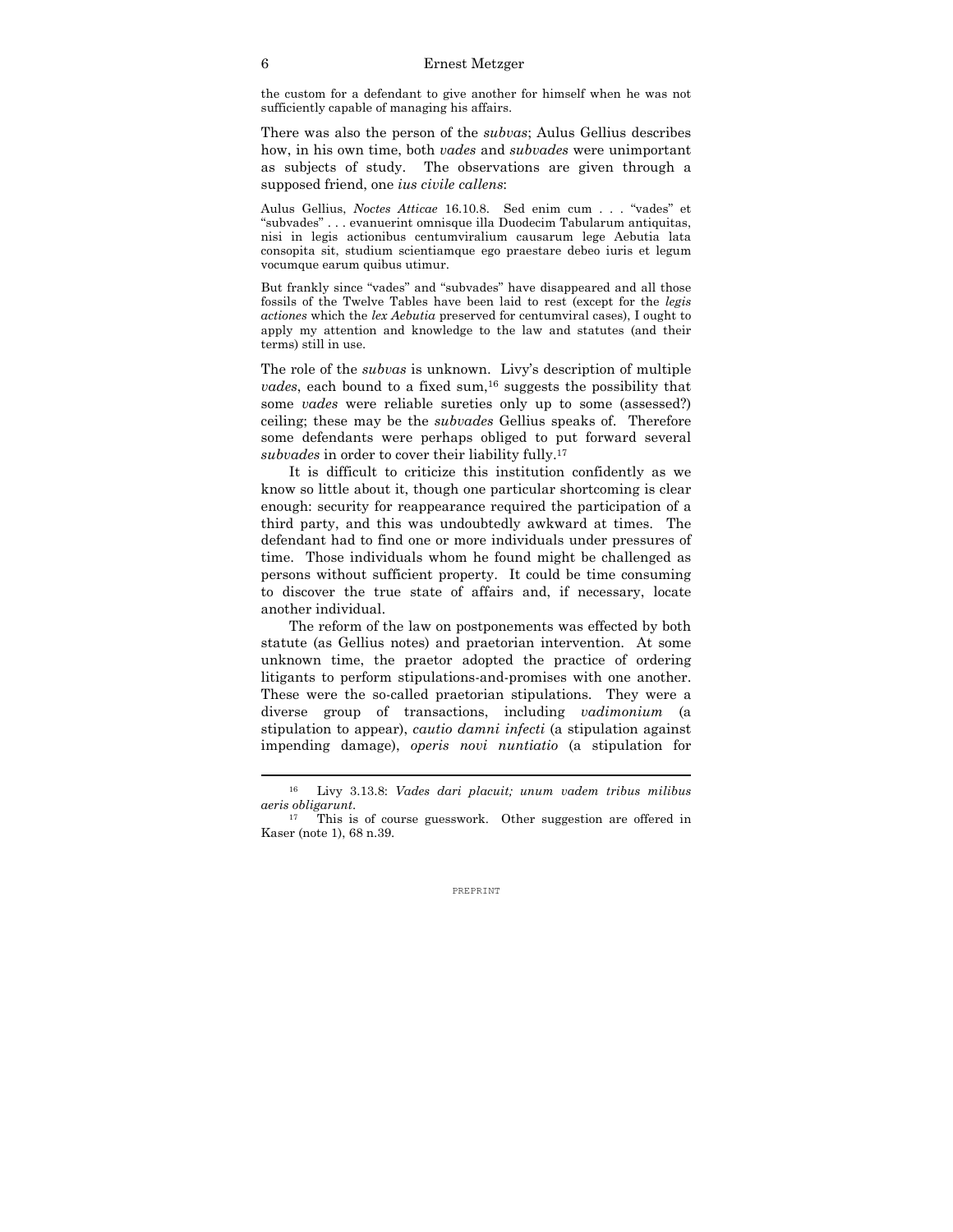the custom for a defendant to give another for himself when he was not sufficiently capable of managing his affairs.

There was also the person of the *subvas*; Aulus Gellius describes how, in his own time, both *vades* and *subvades* were unimportant as subjects of study. The observations are given through a supposed friend, one *ius civile callens*:

Aulus Gellius, *Noctes Atticae* 16.10.8. Sed enim cum . . . "vades" et "subvades" . . . evanuerint omnisque illa Duodecim Tabularum antiquitas, nisi in legis actionibus centumviralium causarum lege Aebutia lata consopita sit, studium scientiamque ego praestare debeo iuris et legum vocumque earum quibus utimur.

But frankly since "vades" and "subvades" have disappeared and all those fossils of the Twelve Tables have been laid to rest (except for the *legis actiones* which the *lex Aebutia* preserved for centumviral cases), I ought to apply my attention and knowledge to the law and statutes (and their terms) still in use.

The role of the *subvas* is unknown. Livy's description of multiple *vades*, each bound to a fixed sum,<sup>16</sup> suggests the possibility that some *vades* were reliable sureties only up to some (assessed?) ceiling; these may be the *subvades* Gellius speaks of. Therefore some defendants were perhaps obliged to put forward several *subvades* in order to cover their liability fully.17

 It is difficult to criticize this institution confidently as we know so little about it, though one particular shortcoming is clear enough: security for reappearance required the participation of a third party, and this was undoubtedly awkward at times. The defendant had to find one or more individuals under pressures of time. Those individuals whom he found might be challenged as persons without sufficient property. It could be time consuming to discover the true state of affairs and, if necessary, locate another individual.

 The reform of the law on postponements was effected by both statute (as Gellius notes) and praetorian intervention. At some unknown time, the praetor adopted the practice of ordering litigants to perform stipulations-and-promises with one another. These were the so-called praetorian stipulations. They were a diverse group of transactions, including *vadimonium* (a stipulation to appear), *cautio damni infecti* (a stipulation against impending damage), *operis novi nuntiatio* (a stipulation for

<sup>16</sup> Livy 3.13.8: *Vades dari placuit; unum vadem tribus milibus aeris obligarunt*. 17 This is of course guesswork. Other suggestion are offered in

Kaser (note 1), 68 n.39.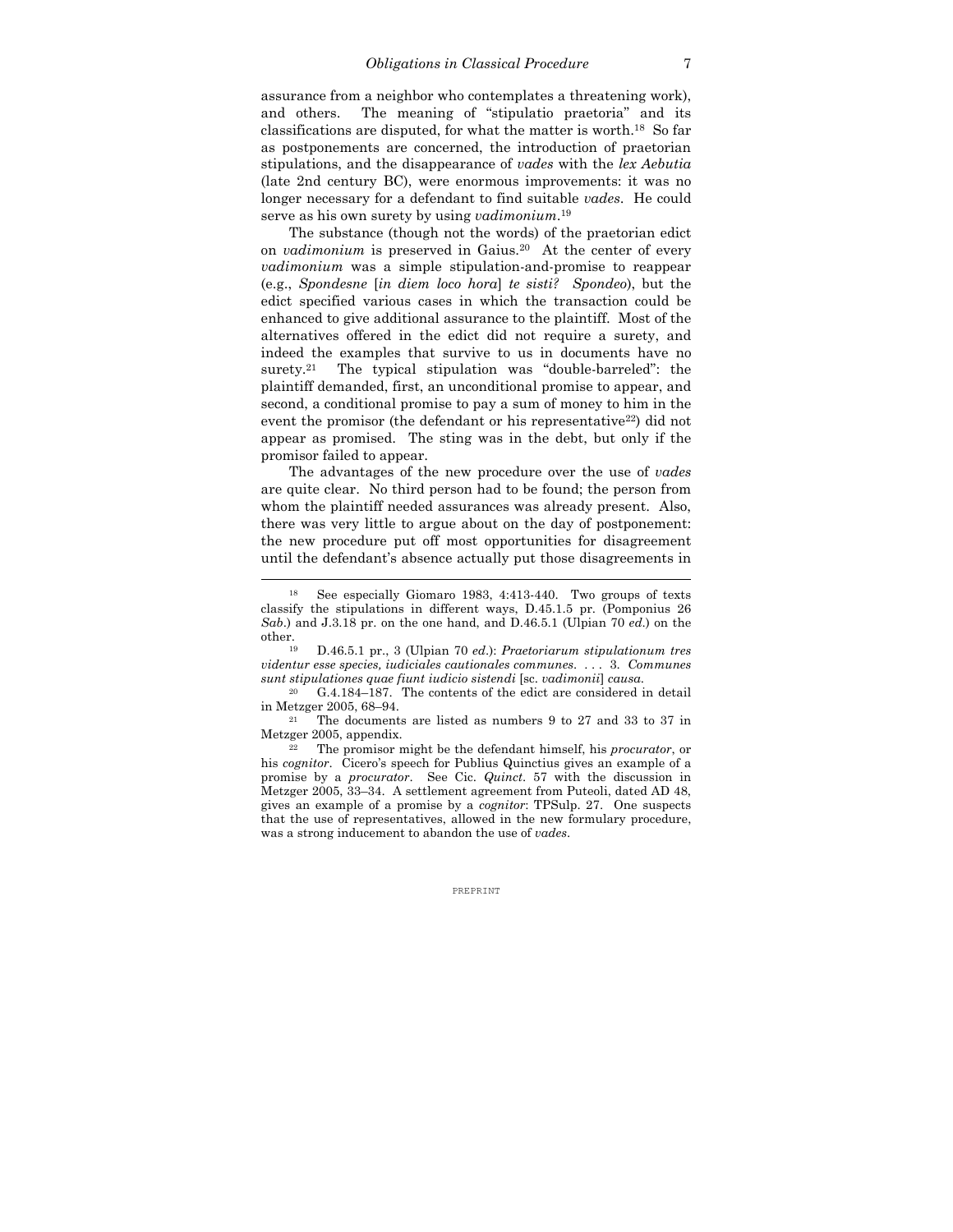assurance from a neighbor who contemplates a threatening work), and others. The meaning of "stipulatio praetoria" and its classifications are disputed, for what the matter is worth.18 So far as postponements are concerned, the introduction of praetorian stipulations, and the disappearance of *vades* with the *lex Aebutia* (late 2nd century BC), were enormous improvements: it was no longer necessary for a defendant to find suitable *vades*. He could serve as his own surety by using *vadimonium*. 19

 The substance (though not the words) of the praetorian edict on *vadimonium* is preserved in Gaius.20 At the center of every *vadimonium* was a simple stipulation-and-promise to reappear (e.g., *Spondesne* [*in diem loco hora*] *te sisti? Spondeo*), but the edict specified various cases in which the transaction could be enhanced to give additional assurance to the plaintiff. Most of the alternatives offered in the edict did not require a surety, and indeed the examples that survive to us in documents have no surety.<sup>21</sup> The typical stipulation was "double-barreled": the plaintiff demanded, first, an unconditional promise to appear, and second, a conditional promise to pay a sum of money to him in the event the promisor (the defendant or his representative $^{22}$ ) did not appear as promised. The sting was in the debt, but only if the promisor failed to appear.

 The advantages of the new procedure over the use of *vades* are quite clear. No third person had to be found; the person from whom the plaintiff needed assurances was already present. Also, there was very little to argue about on the day of postponement: the new procedure put off most opportunities for disagreement until the defendant's absence actually put those disagreements in

<sup>18</sup> See especially Giomaro 1983, 4:413-440. Two groups of texts classify the stipulations in different ways, D.45.1.5 pr. (Pomponius 26 *Sab*.) and J.3.18 pr. on the one hand, and D.46.5.1 (Ulpian 70 *ed*.) on the other. 19 D.46.5.1 pr., 3 (Ulpian 70 *ed*.): *Praetoriarum stipulationum tres* 

*videntur esse species, iudiciales cautionales communes*. . . . 3. *Communes* 

*sunt stipulationes quae fiunt iudicio sistendi* [sc. *vadimonii*] *causa*. 20 G.4.184–187. The contents of the edict are considered in detail in Metzger 2005, 68–94.<br><sup>21</sup> The documents are listed as numbers 9 to 27 and 33 to 37 in

Metzger 2005, appendix. 22 The promisor might be the defendant himself, his *procurator*, or

his *cognitor*. Cicero's speech for Publius Quinctius gives an example of a promise by a *procurator*. See Cic. *Quinct*. 57 with the discussion in Metzger 2005, 33–34. A settlement agreement from Puteoli, dated AD 48, gives an example of a promise by a *cognitor*: TPSulp. 27. One suspects that the use of representatives, allowed in the new formulary procedure, was a strong inducement to abandon the use of *vades*.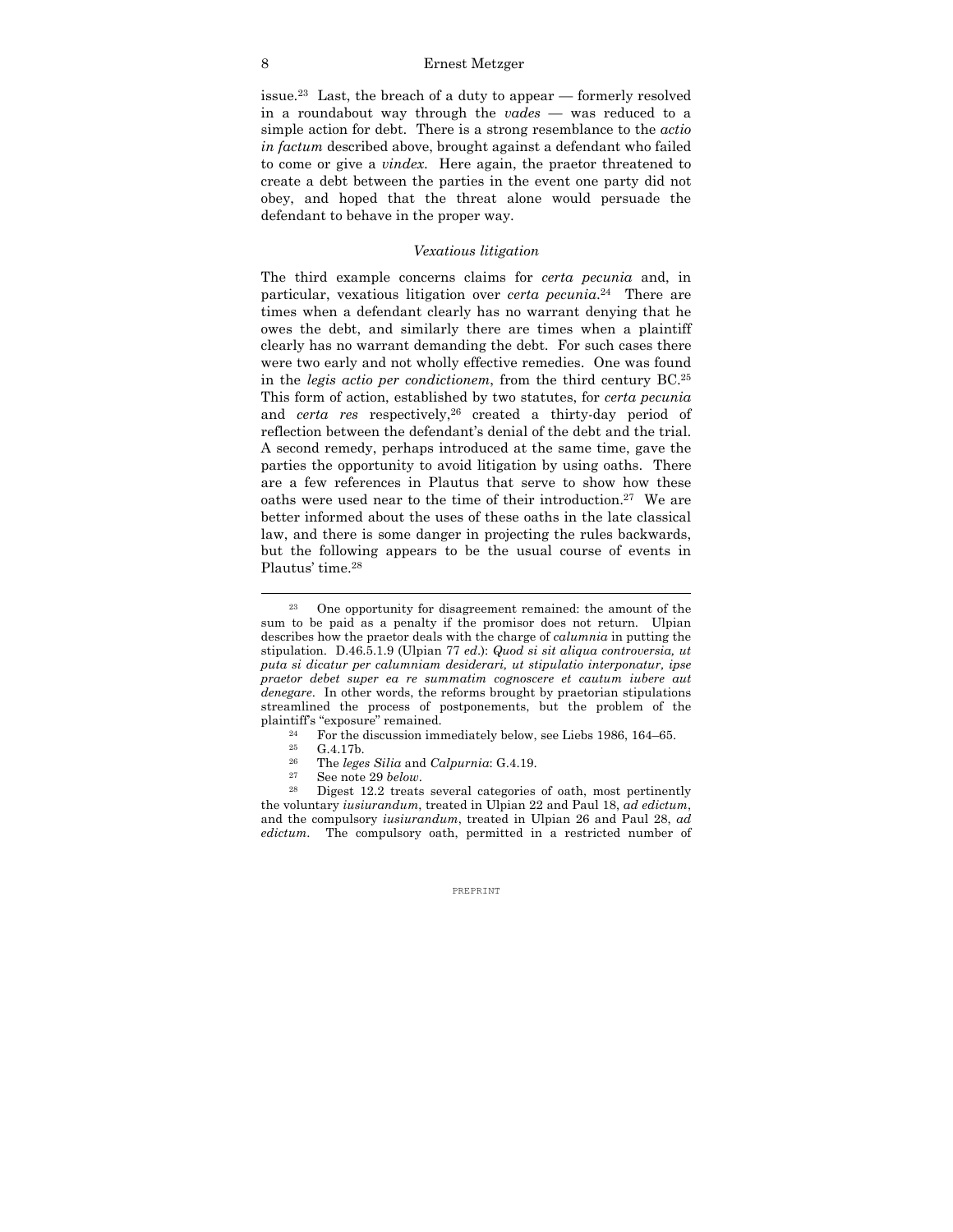#### 8 Ernest Metzger

issue.23 Last, the breach of a duty to appear — formerly resolved in a roundabout way through the *vades* — was reduced to a simple action for debt. There is a strong resemblance to the *actio in factum* described above, brought against a defendant who failed to come or give a *vindex*. Here again, the praetor threatened to create a debt between the parties in the event one party did not obey, and hoped that the threat alone would persuade the defendant to behave in the proper way.

# *Vexatious litigation*

The third example concerns claims for *certa pecunia* and, in particular, vexatious litigation over *certa pecunia*. 24 There are times when a defendant clearly has no warrant denying that he owes the debt, and similarly there are times when a plaintiff clearly has no warrant demanding the debt. For such cases there were two early and not wholly effective remedies. One was found in the *legis actio per condictionem*, from the third century BC.25 This form of action, established by two statutes, for *certa pecunia* and *certa res* respectively,<sup>26</sup> created a thirty-day period of reflection between the defendant's denial of the debt and the trial. A second remedy, perhaps introduced at the same time, gave the parties the opportunity to avoid litigation by using oaths. There are a few references in Plautus that serve to show how these oaths were used near to the time of their introduction.27 We are better informed about the uses of these oaths in the late classical law, and there is some danger in projecting the rules backwards, but the following appears to be the usual course of events in Plautus' time.28

- 
- 

<sup>23</sup> One opportunity for disagreement remained: the amount of the sum to be paid as a penalty if the promisor does not return. Ulpian describes how the praetor deals with the charge of *calumnia* in putting the stipulation. D.46.5.1.9 (Ulpian 77 *ed*.): *Quod si sit aliqua controversia, ut puta si dicatur per calumniam desiderari, ut stipulatio interponatur, ipse praetor debet super ea re summatim cognoscere et cautum iubere aut denegare*. In other words, the reforms brought by praetorian stipulations streamlined the process of postponements, but the problem of the plaintiff's "exposure" remained.<br>
<sup>24</sup> For the discussion immediately below, see Liebs 1986, 164–65.<br>
<sup>25</sup> C<sub>4</sub> 17<sup>h</sup>

<sup>&</sup>lt;sup>25</sup> G.4.17b.<br><sup>26</sup> The lege

<sup>&</sup>lt;sup>26</sup> The *leges Silia* and *Calpurnia*: G.4.19.<br><sup>27</sup> See note 29 *below*.<br><sup>28</sup> Digest 12.2 treats several categories of oath, most pertinently the voluntary *iusiurandum*, treated in Ulpian 22 and Paul 18, *ad edictum*, and the compulsory *iusiurandum*, treated in Ulpian 26 and Paul 28, *ad edictum*. The compulsory oath, permitted in a restricted number of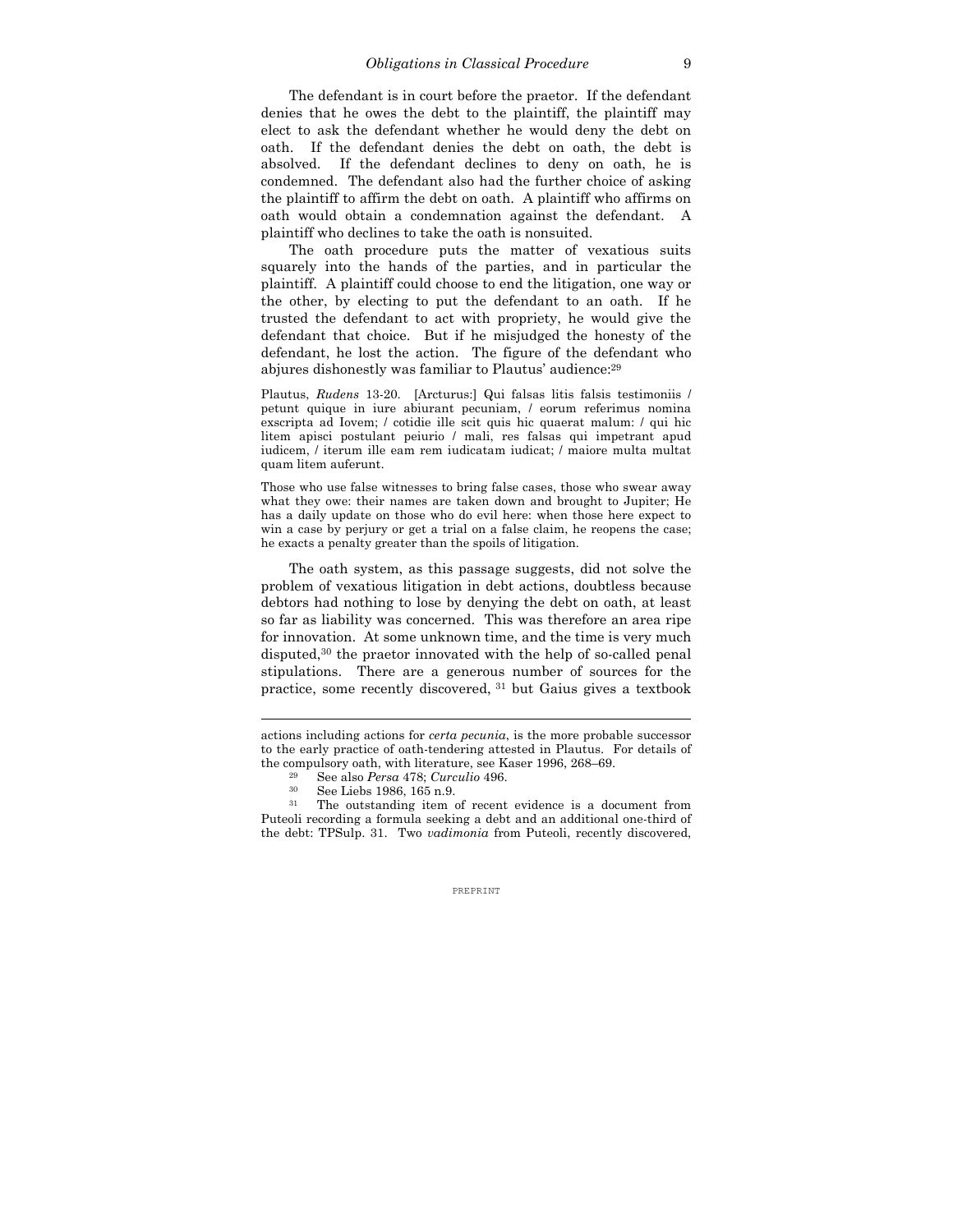The defendant is in court before the praetor. If the defendant denies that he owes the debt to the plaintiff, the plaintiff may elect to ask the defendant whether he would deny the debt on oath. If the defendant denies the debt on oath, the debt is absolved. If the defendant declines to deny on oath, he is condemned. The defendant also had the further choice of asking the plaintiff to affirm the debt on oath. A plaintiff who affirms on oath would obtain a condemnation against the defendant. A plaintiff who declines to take the oath is nonsuited.

The oath procedure puts the matter of vexatious suits squarely into the hands of the parties, and in particular the plaintiff. A plaintiff could choose to end the litigation, one way or the other, by electing to put the defendant to an oath. If he trusted the defendant to act with propriety, he would give the defendant that choice. But if he misjudged the honesty of the defendant, he lost the action. The figure of the defendant who abjures dishonestly was familiar to Plautus' audience:29

Plautus, *Rudens* 13-20. [Arcturus:] Qui falsas litis falsis testimoniis / petunt quique in iure abiurant pecuniam, / eorum referimus nomina exscripta ad Iovem; / cotidie ille scit quis hic quaerat malum: / qui hic litem apisci postulant peiurio / mali, res falsas qui impetrant apud iudicem, / iterum ille eam rem iudicatam iudicat; / maiore multa multat quam litem auferunt.

Those who use false witnesses to bring false cases, those who swear away what they owe: their names are taken down and brought to Jupiter; He has a daily update on those who do evil here: when those here expect to win a case by perjury or get a trial on a false claim, he reopens the case; he exacts a penalty greater than the spoils of litigation.

The oath system, as this passage suggests, did not solve the problem of vexatious litigation in debt actions, doubtless because debtors had nothing to lose by denying the debt on oath, at least so far as liability was concerned. This was therefore an area ripe for innovation. At some unknown time, and the time is very much disputed,30 the praetor innovated with the help of so-called penal stipulations. There are a generous number of sources for the practice, some recently discovered, 31 but Gaius gives a textbook

actions including actions for *certa pecunia*, is the more probable successor to the early practice of oath-tendering attested in Plautus. For details of the compulsory oath, with literature, see Kaser 1996, 268–69.<br><sup>29</sup> See also *Persa* 478; *Curculio* 496.<br><sup>30</sup> See Liebs 1986, 165 n.9.<br><sup>30</sup> See Liebs 1986, 165 n.9. See Liebs 1986.

The outstanding item of recent evidence is a document from Puteoli recording a formula seeking a debt and an additional one-third of the debt: TPSulp. 31. Two *vadimonia* from Puteoli, recently discovered,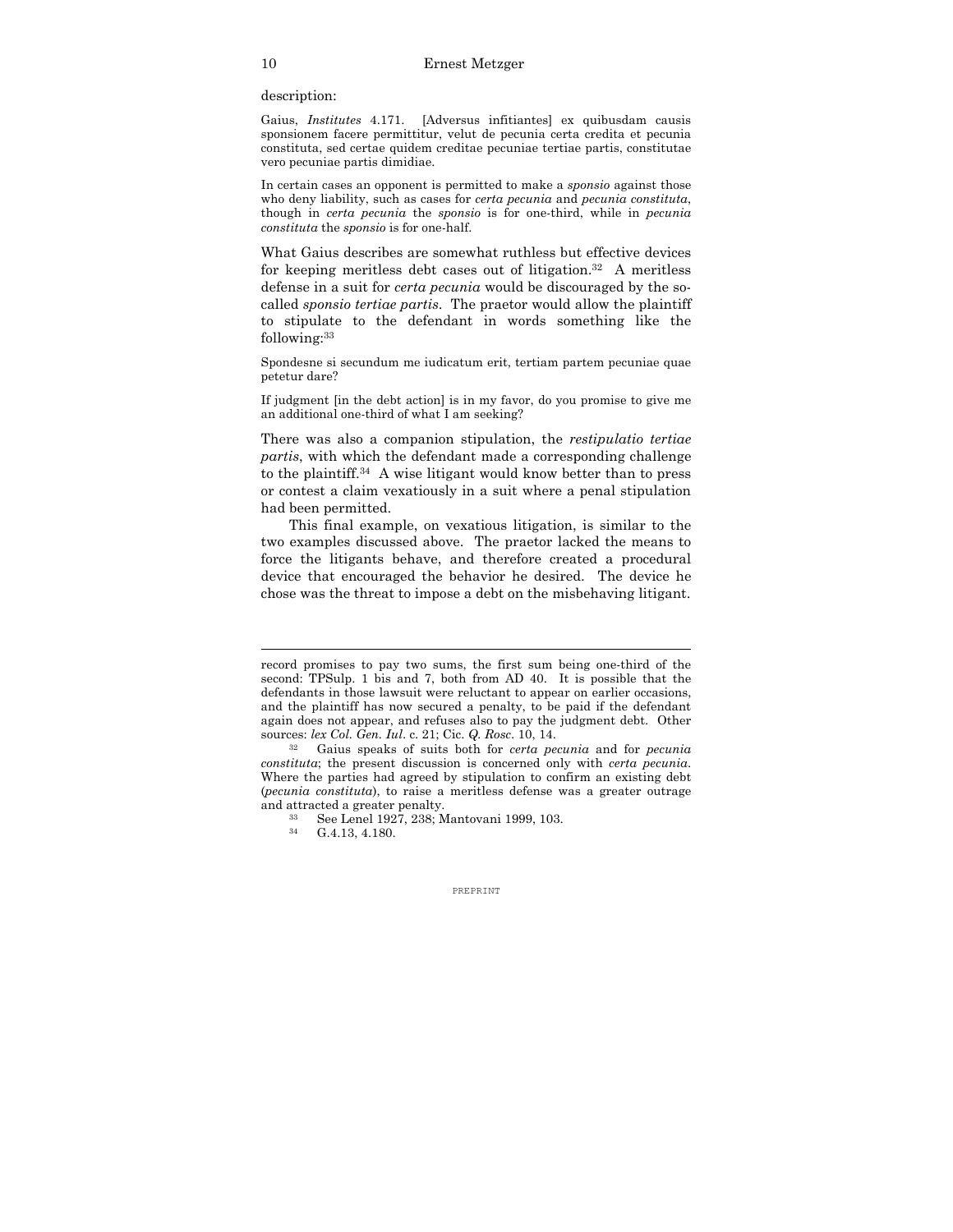description:

Gaius, *Institutes* 4.171. [Adversus infitiantes] ex quibusdam causis sponsionem facere permittitur, velut de pecunia certa credita et pecunia constituta, sed certae quidem creditae pecuniae tertiae partis, constitutae vero pecuniae partis dimidiae.

In certain cases an opponent is permitted to make a *sponsio* against those who deny liability, such as cases for *certa pecunia* and *pecunia constituta*, though in *certa pecunia* the *sponsio* is for one-third, while in *pecunia constituta* the *sponsio* is for one-half.

What Gaius describes are somewhat ruthless but effective devices for keeping meritless debt cases out of litigation.32 A meritless defense in a suit for *certa pecunia* would be discouraged by the socalled *sponsio tertiae partis*. The praetor would allow the plaintiff to stipulate to the defendant in words something like the following:33

Spondesne si secundum me iudicatum erit, tertiam partem pecuniae quae petetur dare?

If judgment [in the debt action] is in my favor, do you promise to give me an additional one-third of what I am seeking?

There was also a companion stipulation, the *restipulatio tertiae partis*, with which the defendant made a corresponding challenge to the plaintiff.34 A wise litigant would know better than to press or contest a claim vexatiously in a suit where a penal stipulation had been permitted.

 This final example, on vexatious litigation, is similar to the two examples discussed above. The praetor lacked the means to force the litigants behave, and therefore created a procedural device that encouraged the behavior he desired. The device he chose was the threat to impose a debt on the misbehaving litigant.

record promises to pay two sums, the first sum being one-third of the second: TPSulp. 1 bis and 7, both from AD 40. It is possible that the defendants in those lawsuit were reluctant to appear on earlier occasions, and the plaintiff has now secured a penalty, to be paid if the defendant again does not appear, and refuses also to pay the judgment debt. Other sources: *lex Col. Gen. Iul*. c. 21; Cic. *Q. Rosc*. 10, 14. 32 Gaius speaks of suits both for *certa pecunia* and for *pecunia* 

*constituta*; the present discussion is concerned only with *certa pecunia*. Where the parties had agreed by stipulation to confirm an existing debt (*pecunia constituta*), to raise a meritless defense was a greater outrage

and attracted a greater penalty.<br><sup>33</sup> See Lenel 1927, 238; Mantovani 1999, 103.<br><sup>34</sup> G 4 13 4 180

G.4.13, 4.180.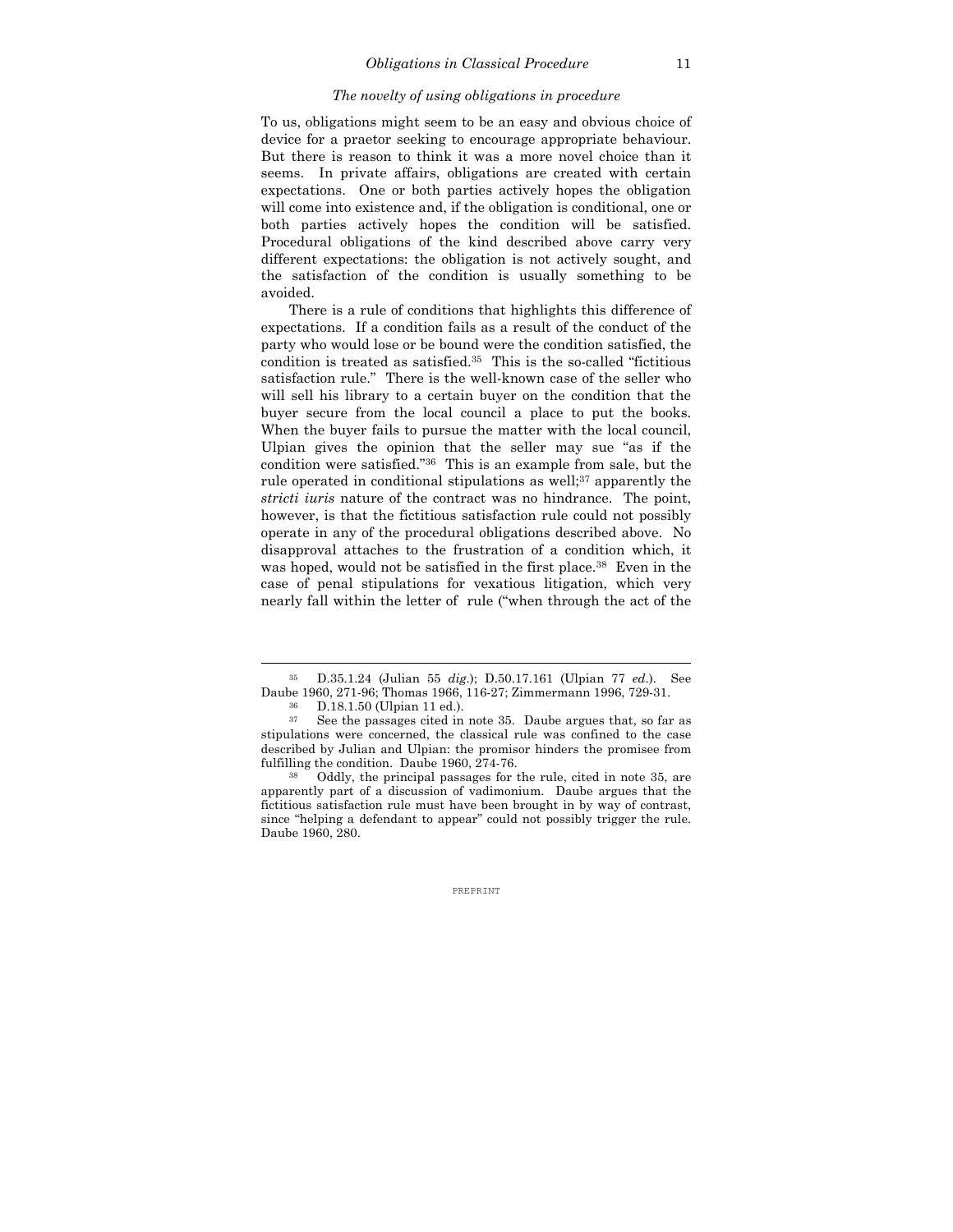#### *The novelty of using obligations in procedure*

To us, obligations might seem to be an easy and obvious choice of device for a praetor seeking to encourage appropriate behaviour. But there is reason to think it was a more novel choice than it seems. In private affairs, obligations are created with certain expectations. One or both parties actively hopes the obligation will come into existence and, if the obligation is conditional, one or both parties actively hopes the condition will be satisfied. Procedural obligations of the kind described above carry very different expectations: the obligation is not actively sought, and the satisfaction of the condition is usually something to be avoided.

 There is a rule of conditions that highlights this difference of expectations. If a condition fails as a result of the conduct of the party who would lose or be bound were the condition satisfied, the condition is treated as satisfied.35 This is the so-called "fictitious satisfaction rule." There is the well-known case of the seller who will sell his library to a certain buyer on the condition that the buyer secure from the local council a place to put the books. When the buyer fails to pursue the matter with the local council, Ulpian gives the opinion that the seller may sue "as if the condition were satisfied."36 This is an example from sale, but the rule operated in conditional stipulations as well;<sup>37</sup> apparently the *stricti iuris* nature of the contract was no hindrance. The point, however, is that the fictitious satisfaction rule could not possibly operate in any of the procedural obligations described above. No disapproval attaches to the frustration of a condition which, it was hoped, would not be satisfied in the first place.<sup>38</sup> Even in the case of penal stipulations for vexatious litigation, which very nearly fall within the letter of rule ("when through the act of the

<sup>35</sup> D.35.1.24 (Julian 55 *dig*.); D.50.17.161 (Ulpian 77 *ed*.). See Daube 1960, 271-96; Thomas 1966, 116-27; Zimmermann 1996, 729-31.<br><sup>36</sup> D.18.1.50 (Ulpian 11 ed.).<br><sup>37</sup> See the passages cited in note 35. Daube argues that, so far

See the passages cited in note 35. Daube argues that, so far as stipulations were concerned, the classical rule was confined to the case described by Julian and Ulpian: the promisor hinders the promisee from fulfilling the condition. Daube 1960, 274-76.<br><sup>38</sup> Oddly, the principal passages for the rule, cited in note 35, are

apparently part of a discussion of vadimonium. Daube argues that the fictitious satisfaction rule must have been brought in by way of contrast, since "helping a defendant to appear" could not possibly trigger the rule. Daube 1960, 280.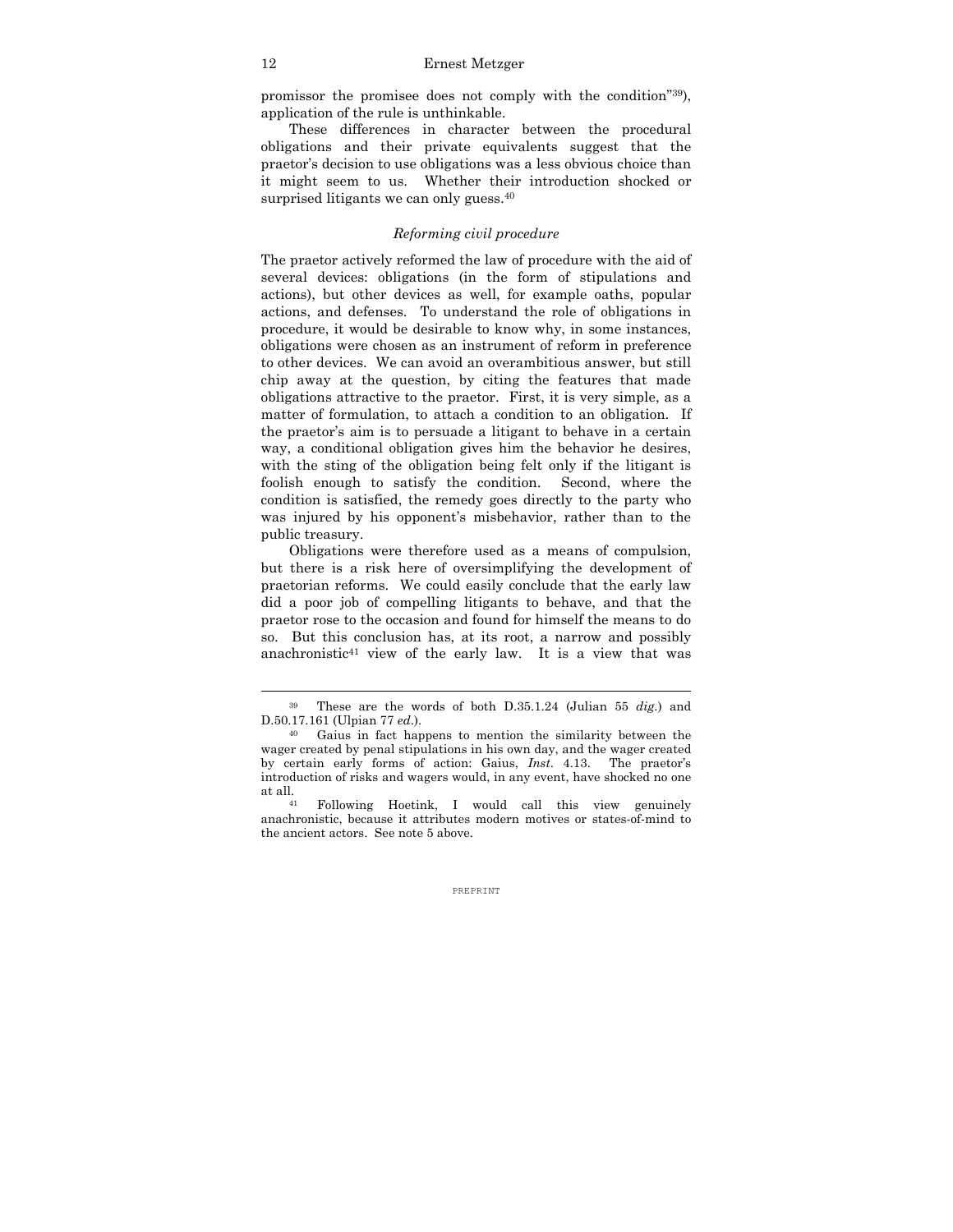promissor the promisee does not comply with the condition"39), application of the rule is unthinkable.

 These differences in character between the procedural obligations and their private equivalents suggest that the praetor's decision to use obligations was a less obvious choice than it might seem to us. Whether their introduction shocked or surprised litigants we can only guess.<sup>40</sup>

# *Reforming civil procedure*

The praetor actively reformed the law of procedure with the aid of several devices: obligations (in the form of stipulations and actions), but other devices as well, for example oaths, popular actions, and defenses. To understand the role of obligations in procedure, it would be desirable to know why, in some instances, obligations were chosen as an instrument of reform in preference to other devices. We can avoid an overambitious answer, but still chip away at the question, by citing the features that made obligations attractive to the praetor. First, it is very simple, as a matter of formulation, to attach a condition to an obligation. If the praetor's aim is to persuade a litigant to behave in a certain way, a conditional obligation gives him the behavior he desires, with the sting of the obligation being felt only if the litigant is foolish enough to satisfy the condition. Second, where the condition is satisfied, the remedy goes directly to the party who was injured by his opponent's misbehavior, rather than to the public treasury.

 Obligations were therefore used as a means of compulsion, but there is a risk here of oversimplifying the development of praetorian reforms. We could easily conclude that the early law did a poor job of compelling litigants to behave, and that the praetor rose to the occasion and found for himself the means to do so. But this conclusion has, at its root, a narrow and possibly anachronistic<sup>41</sup> view of the early law. It is a view that was

<sup>39</sup> These are the words of both D.35.1.24 (Julian 55 *dig*.) and D.50.17.161 (Ulpian 77 *ed*.). 40 Gaius in fact happens to mention the similarity between the

wager created by penal stipulations in his own day, and the wager created by certain early forms of action: Gaius, *Inst*. 4.13. The praetor's introduction of risks and wagers would, in any event, have shocked no one at all. 41 Following Hoetink, I would call this view genuinely

anachronistic, because it attributes modern motives or states-of-mind to the ancient actors. See note 5 above.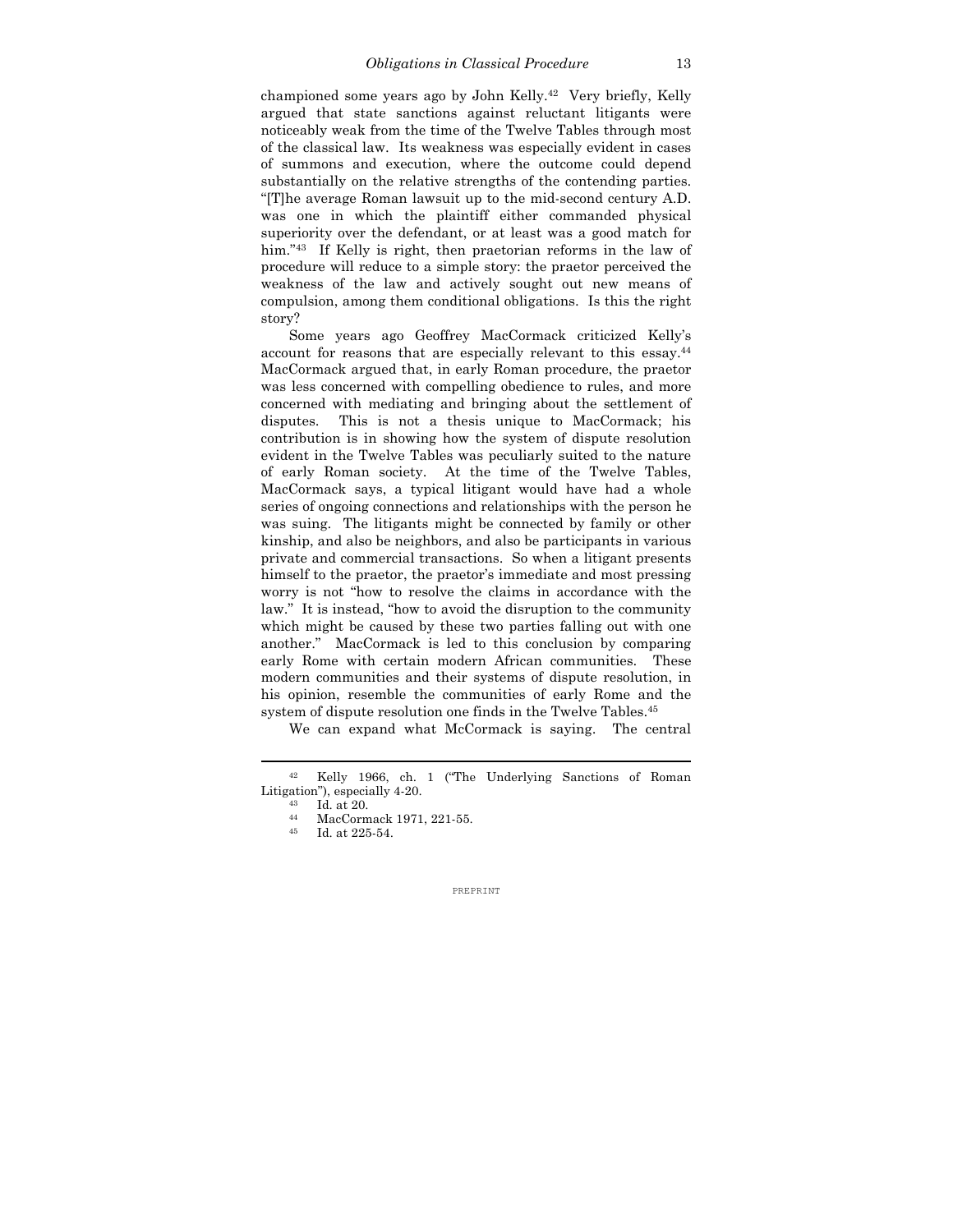championed some years ago by John Kelly.42 Very briefly, Kelly argued that state sanctions against reluctant litigants were noticeably weak from the time of the Twelve Tables through most of the classical law. Its weakness was especially evident in cases of summons and execution, where the outcome could depend substantially on the relative strengths of the contending parties. "[T]he average Roman lawsuit up to the mid-second century A.D. was one in which the plaintiff either commanded physical superiority over the defendant, or at least was a good match for him."<sup>43</sup> If Kelly is right, then praetorian reforms in the law of procedure will reduce to a simple story: the praetor perceived the weakness of the law and actively sought out new means of compulsion, among them conditional obligations. Is this the right story?

 Some years ago Geoffrey MacCormack criticized Kelly's account for reasons that are especially relevant to this essay.44 MacCormack argued that, in early Roman procedure, the praetor was less concerned with compelling obedience to rules, and more concerned with mediating and bringing about the settlement of disputes. This is not a thesis unique to MacCormack; his contribution is in showing how the system of dispute resolution evident in the Twelve Tables was peculiarly suited to the nature of early Roman society. At the time of the Twelve Tables, MacCormack says, a typical litigant would have had a whole series of ongoing connections and relationships with the person he was suing. The litigants might be connected by family or other kinship, and also be neighbors, and also be participants in various private and commercial transactions. So when a litigant presents himself to the praetor, the praetor's immediate and most pressing worry is not "how to resolve the claims in accordance with the law." It is instead, "how to avoid the disruption to the community which might be caused by these two parties falling out with one another." MacCormack is led to this conclusion by comparing early Rome with certain modern African communities. These modern communities and their systems of dispute resolution, in his opinion, resemble the communities of early Rome and the system of dispute resolution one finds in the Twelve Tables.<sup>45</sup>

We can expand what McCormack is saying. The central

<sup>42</sup> Kelly 1966, ch. 1 ("The Underlying Sanctions of Roman Litigation"), especially 4-20.<br> $^{43}$  Id. at 20.<br> $^{44}$  MecConmeck 1971

MacCormack 1971, 221-55.

<sup>45</sup> Id. at 225-54.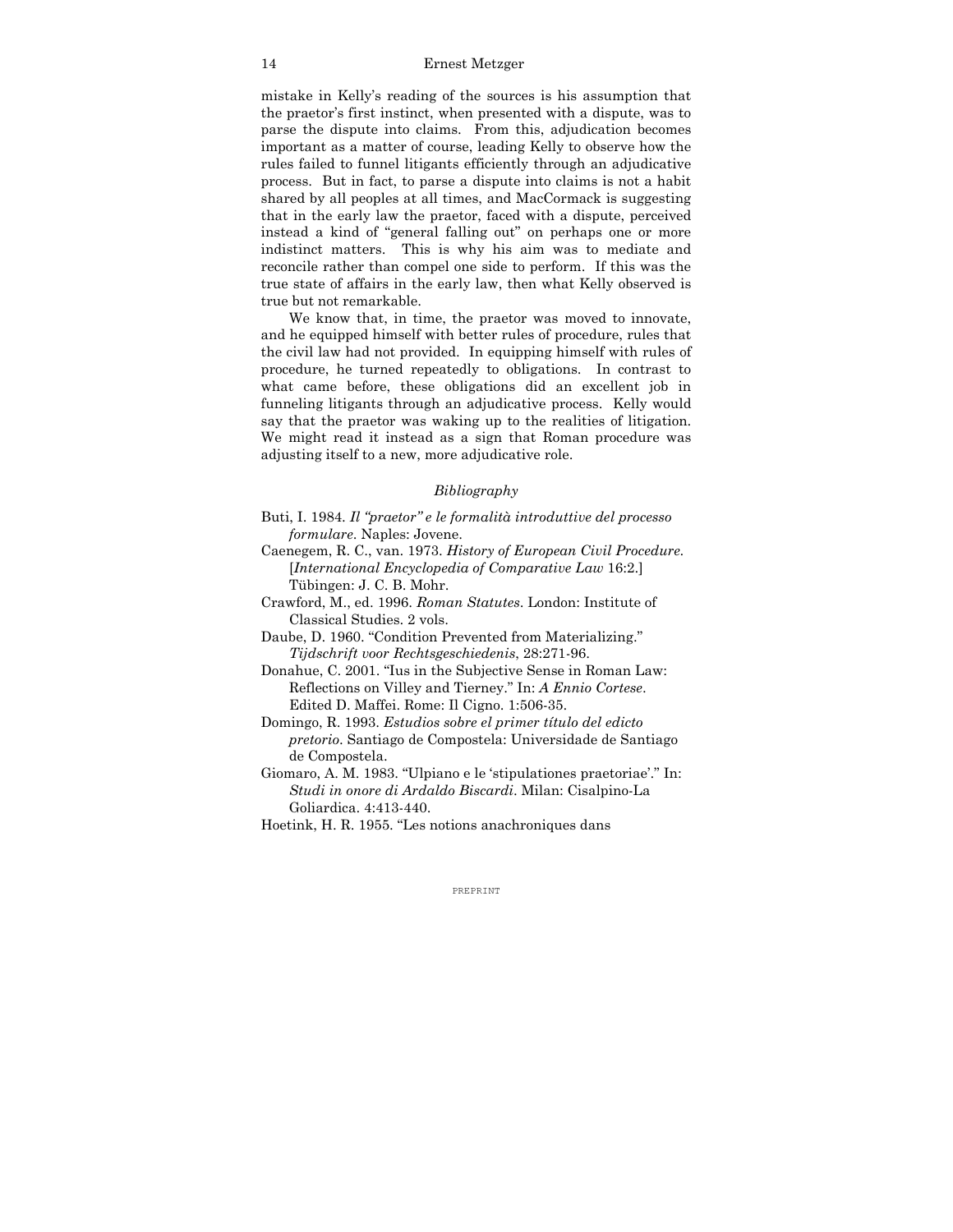mistake in Kelly's reading of the sources is his assumption that the praetor's first instinct, when presented with a dispute, was to parse the dispute into claims. From this, adjudication becomes important as a matter of course, leading Kelly to observe how the rules failed to funnel litigants efficiently through an adjudicative process. But in fact, to parse a dispute into claims is not a habit shared by all peoples at all times, and MacCormack is suggesting that in the early law the praetor, faced with a dispute, perceived instead a kind of "general falling out" on perhaps one or more indistinct matters. This is why his aim was to mediate and reconcile rather than compel one side to perform. If this was the true state of affairs in the early law, then what Kelly observed is true but not remarkable.

 We know that, in time, the praetor was moved to innovate, and he equipped himself with better rules of procedure, rules that the civil law had not provided. In equipping himself with rules of procedure, he turned repeatedly to obligations. In contrast to what came before, these obligations did an excellent job in funneling litigants through an adjudicative process. Kelly would say that the praetor was waking up to the realities of litigation. We might read it instead as a sign that Roman procedure was adjusting itself to a new, more adjudicative role.

# *Bibliography*

- Buti, I. 1984. *Il "praetor" e le formalità introduttive del processo formulare*. Naples: Jovene.
- Caenegem, R. C., van. 1973. *History of European Civil Procedure*. [*International Encyclopedia of Comparative Law* 16:2.] Tübingen: J. C. B. Mohr.
- Crawford, M., ed. 1996. *Roman Statutes*. London: Institute of Classical Studies. 2 vols.
- Daube, D. 1960. "Condition Prevented from Materializing." *Tijdschrift voor Rechtsgeschiedenis*, 28:271-96.
- Donahue, C. 2001. "Ius in the Subjective Sense in Roman Law: Reflections on Villey and Tierney." In: *A Ennio Cortese*. Edited D. Maffei. Rome: Il Cigno. 1:506-35.
- Domingo, R. 1993. *Estudios sobre el primer título del edicto pretorio*. Santiago de Compostela: Universidade de Santiago de Compostela.
- Giomaro, A. M. 1983. "Ulpiano e le 'stipulationes praetoriae'." In: *Studi in onore di Ardaldo Biscardi*. Milan: Cisalpino-La Goliardica. 4:413-440.
- Hoetink, H. R. 1955. "Les notions anachroniques dans